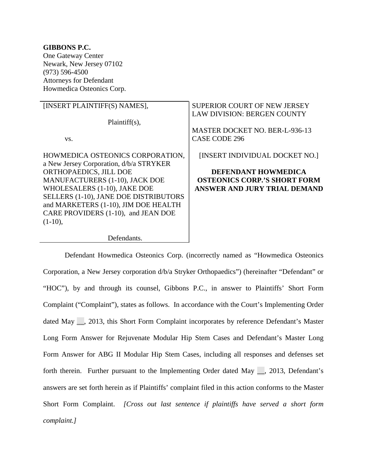### **GIBBONS P.C.**  One Gateway Center Newark, New Jersey 07102 (973) 596-4500 Attorneys for Defendant Howmedica Osteonics Corp.

| [INSERT PLAINTIFF(S) NAMES],            | SUPERIOR COURT OF NEW JERSEY<br><b>LAW DIVISION: BERGEN COUNTY</b> |
|-----------------------------------------|--------------------------------------------------------------------|
| $Plaintiff(s)$ ,                        |                                                                    |
|                                         | <b>MASTER DOCKET NO. BER-L-936-13</b>                              |
| VS.                                     | CASE CODE 296                                                      |
|                                         |                                                                    |
| HOWMEDICA OSTEONICS CORPORATION,        | [INSERT INDIVIDUAL DOCKET NO.]                                     |
| a New Jersey Corporation, d/b/a STRYKER |                                                                    |
| ORTHOPAEDICS, JILL DOE                  | <b>DEFENDANT HOWMEDICA</b>                                         |
| MANUFACTURERS (1-10), JACK DOE          | <b>OSTEONICS CORP.'S SHORT FORM</b>                                |
| WHOLESALERS (1-10), JAKE DOE            | ANSWER AND JURY TRIAL DEMAND                                       |
| SELLERS (1-10), JANE DOE DISTRIBUTORS   |                                                                    |
| and MARKETERS (1-10), JIM DOE HEALTH    |                                                                    |
| CARE PROVIDERS (1-10), and JEAN DOE     |                                                                    |
| $(1-10),$                               |                                                                    |
|                                         |                                                                    |

### Defendants.

 Defendant Howmedica Osteonics Corp. (incorrectly named as "Howmedica Osteonics Corporation, a New Jersey corporation d/b/a Stryker Orthopaedics") (hereinafter "Defendant" or "HOC"), by and through its counsel, Gibbons P.C., in answer to Plaintiffs' Short Form Complaint ("Complaint"), states as follows. In accordance with the Court's Implementing Order dated May \_\_, 2013, this Short Form Complaint incorporates by reference Defendant's Master Long Form Answer for Rejuvenate Modular Hip Stem Cases and Defendant's Master Long Form Answer for ABG II Modular Hip Stem Cases, including all responses and defenses set forth therein. Further pursuant to the Implementing Order dated May \_\_, 2013, Defendant's answers are set forth herein as if Plaintiffs' complaint filed in this action conforms to the Master Short Form Complaint. *[Cross out last sentence if plaintiffs have served a short form complaint.]*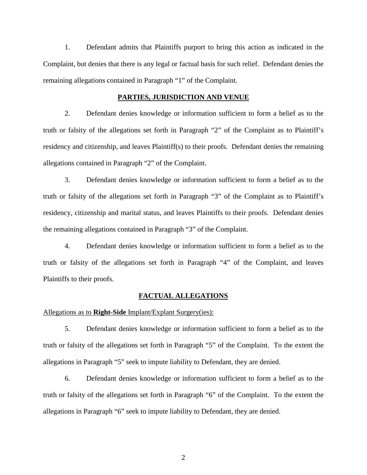1. Defendant admits that Plaintiffs purport to bring this action as indicated in the Complaint, but denies that there is any legal or factual basis for such relief. Defendant denies the remaining allegations contained in Paragraph "1" of the Complaint.

#### **PARTIES, JURISDICTION AND VENUE**

2. Defendant denies knowledge or information sufficient to form a belief as to the truth or falsity of the allegations set forth in Paragraph "2" of the Complaint as to Plaintiff's residency and citizenship, and leaves Plaintiff(s) to their proofs. Defendant denies the remaining allegations contained in Paragraph "2" of the Complaint.

3. Defendant denies knowledge or information sufficient to form a belief as to the truth or falsity of the allegations set forth in Paragraph "3" of the Complaint as to Plaintiff's residency, citizenship and marital status, and leaves Plaintiffs to their proofs. Defendant denies the remaining allegations contained in Paragraph "3" of the Complaint.

4. Defendant denies knowledge or information sufficient to form a belief as to the truth or falsity of the allegations set forth in Paragraph "4" of the Complaint, and leaves Plaintiffs to their proofs.

#### **FACTUAL ALLEGATIONS**

Allegations as to **Right-Side** Implant/Explant Surgery(ies):

5. Defendant denies knowledge or information sufficient to form a belief as to the truth or falsity of the allegations set forth in Paragraph "5" of the Complaint. To the extent the allegations in Paragraph "5" seek to impute liability to Defendant, they are denied.

6. Defendant denies knowledge or information sufficient to form a belief as to the truth or falsity of the allegations set forth in Paragraph "6" of the Complaint. To the extent the allegations in Paragraph "6" seek to impute liability to Defendant, they are denied.

2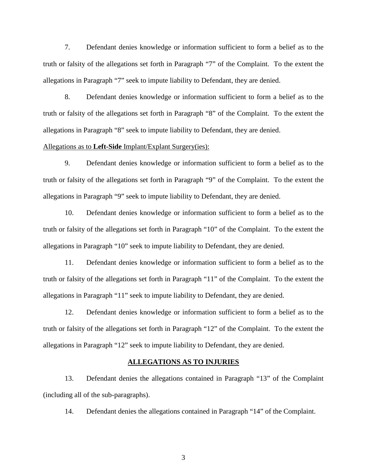7. Defendant denies knowledge or information sufficient to form a belief as to the truth or falsity of the allegations set forth in Paragraph "7" of the Complaint. To the extent the allegations in Paragraph "7" seek to impute liability to Defendant, they are denied.

8. Defendant denies knowledge or information sufficient to form a belief as to the truth or falsity of the allegations set forth in Paragraph "8" of the Complaint. To the extent the allegations in Paragraph "8" seek to impute liability to Defendant, they are denied.

### Allegations as to **Left-Side** Implant/Explant Surgery(ies):

9. Defendant denies knowledge or information sufficient to form a belief as to the truth or falsity of the allegations set forth in Paragraph "9" of the Complaint. To the extent the allegations in Paragraph "9" seek to impute liability to Defendant, they are denied.

10. Defendant denies knowledge or information sufficient to form a belief as to the truth or falsity of the allegations set forth in Paragraph "10" of the Complaint. To the extent the allegations in Paragraph "10" seek to impute liability to Defendant, they are denied.

11. Defendant denies knowledge or information sufficient to form a belief as to the truth or falsity of the allegations set forth in Paragraph "11" of the Complaint. To the extent the allegations in Paragraph "11" seek to impute liability to Defendant, they are denied.

12. Defendant denies knowledge or information sufficient to form a belief as to the truth or falsity of the allegations set forth in Paragraph "12" of the Complaint. To the extent the allegations in Paragraph "12" seek to impute liability to Defendant, they are denied.

#### **ALLEGATIONS AS TO INJURIES**

13. Defendant denies the allegations contained in Paragraph "13" of the Complaint (including all of the sub-paragraphs).

14. Defendant denies the allegations contained in Paragraph "14" of the Complaint.

3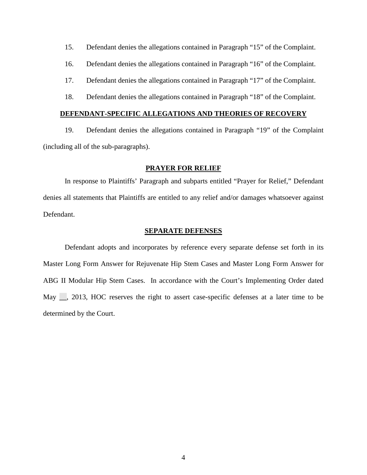15. Defendant denies the allegations contained in Paragraph "15" of the Complaint.

16. Defendant denies the allegations contained in Paragraph "16" of the Complaint.

17. Defendant denies the allegations contained in Paragraph "17" of the Complaint.

18. Defendant denies the allegations contained in Paragraph "18" of the Complaint.

### **DEFENDANT-SPECIFIC ALLEGATIONS AND THEORIES OF RECOVERY**

19. Defendant denies the allegations contained in Paragraph "19" of the Complaint (including all of the sub-paragraphs).

### **PRAYER FOR RELIEF**

In response to Plaintiffs' Paragraph and subparts entitled "Prayer for Relief," Defendant denies all statements that Plaintiffs are entitled to any relief and/or damages whatsoever against Defendant.

#### **SEPARATE DEFENSES**

 Defendant adopts and incorporates by reference every separate defense set forth in its Master Long Form Answer for Rejuvenate Hip Stem Cases and Master Long Form Answer for ABG II Modular Hip Stem Cases. In accordance with the Court's Implementing Order dated May  $\Box$ , 2013, HOC reserves the right to assert case-specific defenses at a later time to be determined by the Court.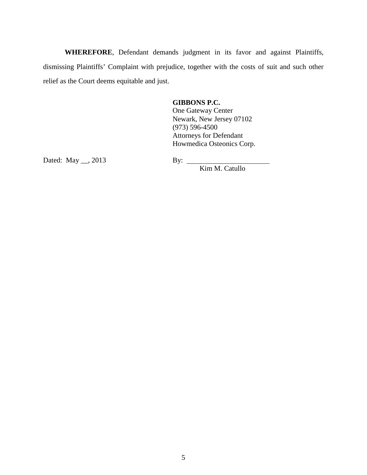**WHEREFORE**, Defendant demands judgment in its favor and against Plaintiffs, dismissing Plaintiffs' Complaint with prejudice, together with the costs of suit and such other relief as the Court deems equitable and just.

**GIBBONS P.C.**

One Gateway Center Newark, New Jersey 07102 (973) 596-4500 Attorneys for Defendant Howmedica Osteonics Corp.

Dated: May  $\_\_$ , 2013 By:  $\_\_$ 

Kim M. Catullo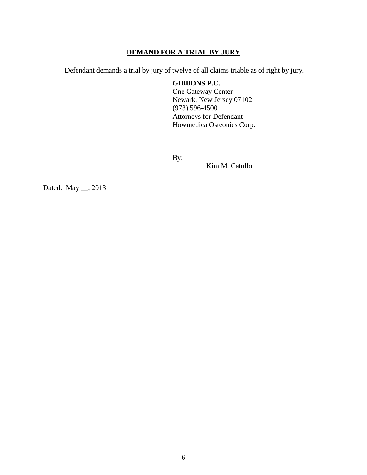# **DEMAND FOR A TRIAL BY JURY**

Defendant demands a trial by jury of twelve of all claims triable as of right by jury.

# **GIBBONS P.C.**

One Gateway Center Newark, New Jersey 07102 (973) 596-4500 Attorneys for Defendant Howmedica Osteonics Corp.

By:

Kim M. Catullo

Dated: May \_\_, 2013